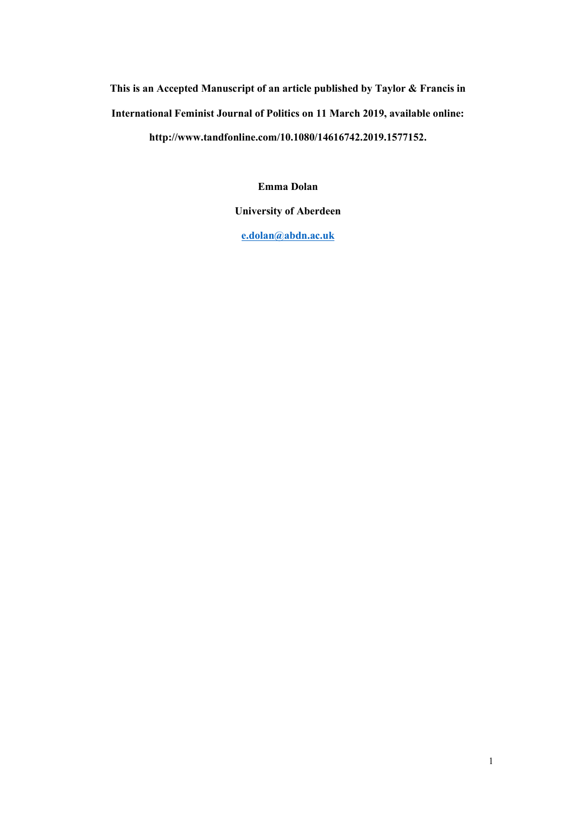**This is an Accepted Manuscript of an article published by Taylor & Francis in International Feminist Journal of Politics on 11 March 2019, available online: http://www.tandfonline.com/10.1080/14616742.2019.1577152.**

**Emma Dolan**

**University of Aberdeen**

**[e.dolan@abdn.ac.uk](mailto:e.dolan@abdn.ac.uk)**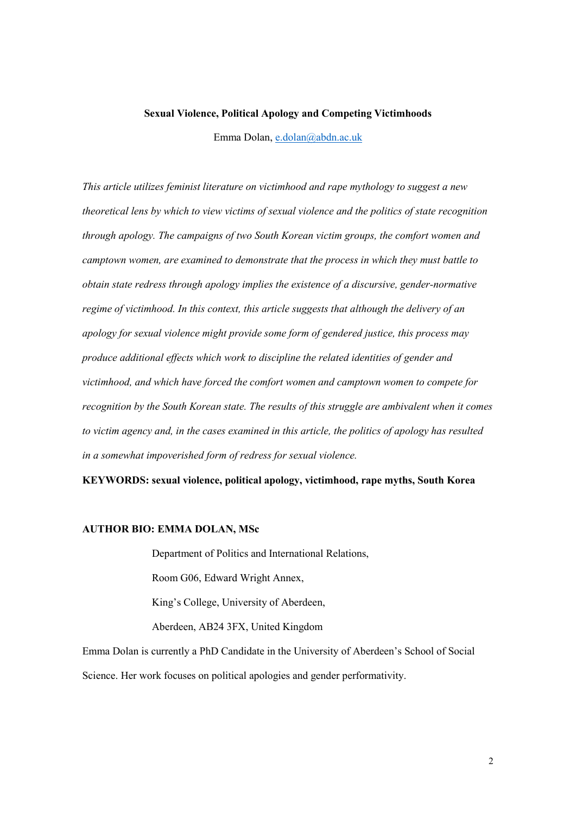#### **Sexual Violence, Political Apology and Competing Victimhoods**

Emma Dolan, [e.dolan@abdn.ac.uk](mailto:e.dolan@abdn.ac.uk)

*This article utilizes feminist literature on victimhood and rape mythology to suggest a new theoretical lens by which to view victims of sexual violence and the politics of state recognition through apology. The campaigns of two South Korean victim groups, the comfort women and camptown women, are examined to demonstrate that the process in which they must battle to obtain state redress through apology implies the existence of a discursive, gender-normative regime of victimhood. In this context, this article suggests that although the delivery of an apology for sexual violence might provide some form of gendered justice, this process may produce additional effects which work to discipline the related identities of gender and victimhood, and which have forced the comfort women and camptown women to compete for recognition by the South Korean state. The results of this struggle are ambivalent when it comes to victim agency and, in the cases examined in this article, the politics of apology has resulted in a somewhat impoverished form of redress for sexual violence.*

**KEYWORDS: sexual violence, political apology, victimhood, rape myths, South Korea**

### **AUTHOR BIO: EMMA DOLAN, MSc**

Department of Politics and International Relations,

Room G06, Edward Wright Annex,

King's College, University of Aberdeen,

Aberdeen, AB24 3FX, United Kingdom

Emma Dolan is currently a PhD Candidate in the University of Aberdeen's School of Social Science. Her work focuses on political apologies and gender performativity.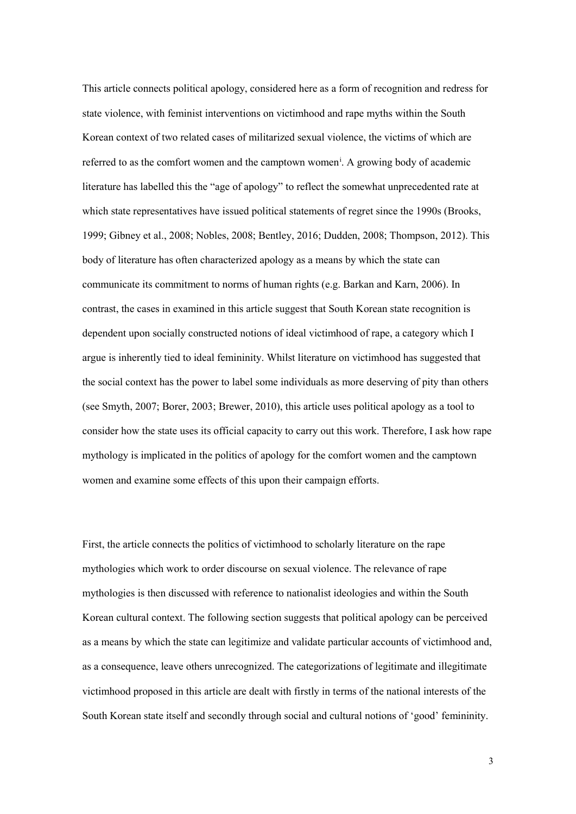This article connects political apology, considered here as a form of recognition and redress for state violence, with feminist interventions on victimhood and rape myths within the South Korean context of two related cases of militarized sexual violence, the victims of which are referred to as the comfort women and the camptown women<sup>[i](#page-21-0)</sup>. A growing body of academic literature has labelled this the "age of apology" to reflect the somewhat unprecedented rate at which state representatives have issued political statements of regret since the 1990s (Brooks, 1999; Gibney et al., 2008; Nobles, 2008; Bentley, 2016; Dudden, 2008; Thompson, 2012). This body of literature has often characterized apology as a means by which the state can communicate its commitment to norms of human rights (e.g. Barkan and Karn, 2006). In contrast, the cases in examined in this article suggest that South Korean state recognition is dependent upon socially constructed notions of ideal victimhood of rape, a category which I argue is inherently tied to ideal femininity. Whilst literature on victimhood has suggested that the social context has the power to label some individuals as more deserving of pity than others (see Smyth, 2007; Borer, 2003; Brewer, 2010), this article uses political apology as a tool to consider how the state uses its official capacity to carry out this work. Therefore, I ask how rape mythology is implicated in the politics of apology for the comfort women and the camptown women and examine some effects of this upon their campaign efforts.

First, the article connects the politics of victimhood to scholarly literature on the rape mythologies which work to order discourse on sexual violence. The relevance of rape mythologies is then discussed with reference to nationalist ideologies and within the South Korean cultural context. The following section suggests that political apology can be perceived as a means by which the state can legitimize and validate particular accounts of victimhood and, as a consequence, leave others unrecognized. The categorizations of legitimate and illegitimate victimhood proposed in this article are dealt with firstly in terms of the national interests of the South Korean state itself and secondly through social and cultural notions of 'good' femininity.

3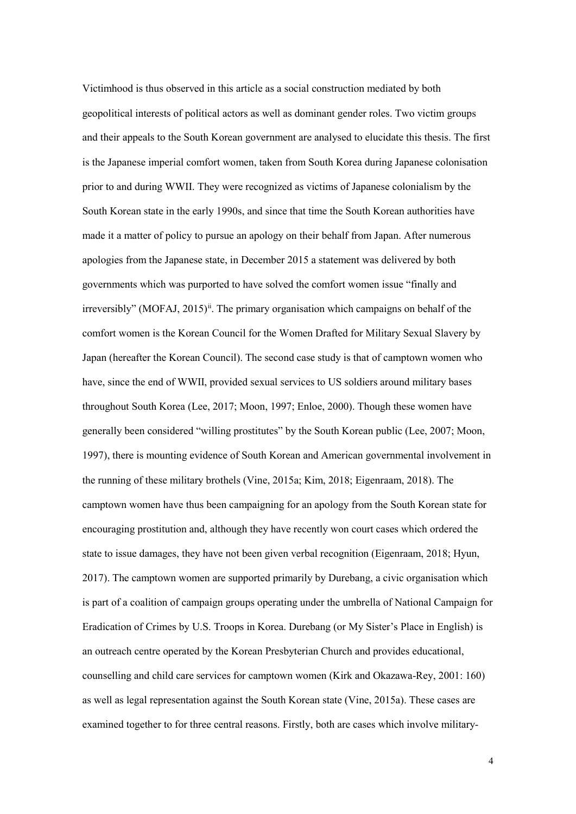Victimhood is thus observed in this article as a social construction mediated by both geopolitical interests of political actors as well as dominant gender roles. Two victim groups and their appeals to the South Korean government are analysed to elucidate this thesis. The first is the Japanese imperial comfort women, taken from South Korea during Japanese colonisation prior to and during WWII. They were recognized as victims of Japanese colonialism by the South Korean state in the early 1990s, and since that time the South Korean authorities have made it a matter of policy to pursue an apology on their behalf from Japan. After numerous apologies from the Japanese state, in December 2015 a statement was delivered by both governments which was purported to have solved the comfort women issue "finally and irreversibly" (MOFAJ, 2015)<sup>[ii](#page-21-1)</sup>. The primary organisation which campaigns on behalf of the comfort women is the Korean Council for the Women Drafted for Military Sexual Slavery by Japan (hereafter the Korean Council). The second case study is that of camptown women who have, since the end of WWII, provided sexual services to US soldiers around military bases throughout South Korea (Lee, 2017; Moon, 1997; Enloe, 2000). Though these women have generally been considered "willing prostitutes" by the South Korean public (Lee, 2007; Moon, 1997), there is mounting evidence of South Korean and American governmental involvement in the running of these military brothels (Vine, 2015a; Kim, 2018; Eigenraam, 2018). The camptown women have thus been campaigning for an apology from the South Korean state for encouraging prostitution and, although they have recently won court cases which ordered the state to issue damages, they have not been given verbal recognition (Eigenraam, 2018; Hyun, 2017). The camptown women are supported primarily by Durebang, a civic organisation which is part of a coalition of campaign groups operating under the umbrella of National Campaign for Eradication of Crimes by U.S. Troops in Korea. Durebang (or My Sister's Place in English) is an outreach centre operated by the Korean Presbyterian Church and provides educational, counselling and child care services for camptown women (Kirk and Okazawa-Rey, 2001: 160) as well as legal representation against the South Korean state (Vine, 2015a). These cases are examined together to for three central reasons. Firstly, both are cases which involve military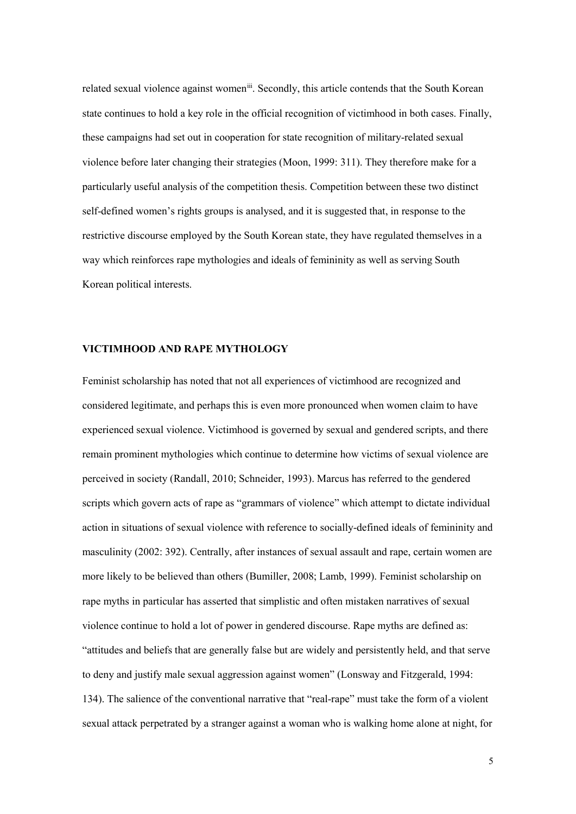related sexual violence against women<sup>iii</sup>. Secondly, this article contends that the South Korean state continues to hold a key role in the official recognition of victimhood in both cases. Finally, these campaigns had set out in cooperation for state recognition of military-related sexual violence before later changing their strategies (Moon, 1999: 311). They therefore make for a particularly useful analysis of the competition thesis. Competition between these two distinct self-defined women's rights groups is analysed, and it is suggested that, in response to the restrictive discourse employed by the South Korean state, they have regulated themselves in a way which reinforces rape mythologies and ideals of femininity as well as serving South Korean political interests.

## **VICTIMHOOD AND RAPE MYTHOLOGY**

Feminist scholarship has noted that not all experiences of victimhood are recognized and considered legitimate, and perhaps this is even more pronounced when women claim to have experienced sexual violence. Victimhood is governed by sexual and gendered scripts, and there remain prominent mythologies which continue to determine how victims of sexual violence are perceived in society (Randall, 2010; Schneider, 1993). Marcus has referred to the gendered scripts which govern acts of rape as "grammars of violence" which attempt to dictate individual action in situations of sexual violence with reference to socially-defined ideals of femininity and masculinity (2002: 392). Centrally, after instances of sexual assault and rape, certain women are more likely to be believed than others (Bumiller, 2008; Lamb, 1999). Feminist scholarship on rape myths in particular has asserted that simplistic and often mistaken narratives of sexual violence continue to hold a lot of power in gendered discourse. Rape myths are defined as: "attitudes and beliefs that are generally false but are widely and persistently held, and that serve to deny and justify male sexual aggression against women" (Lonsway and Fitzgerald, 1994: 134). The salience of the conventional narrative that "real-rape" must take the form of a violent sexual attack perpetrated by a stranger against a woman who is walking home alone at night, for

5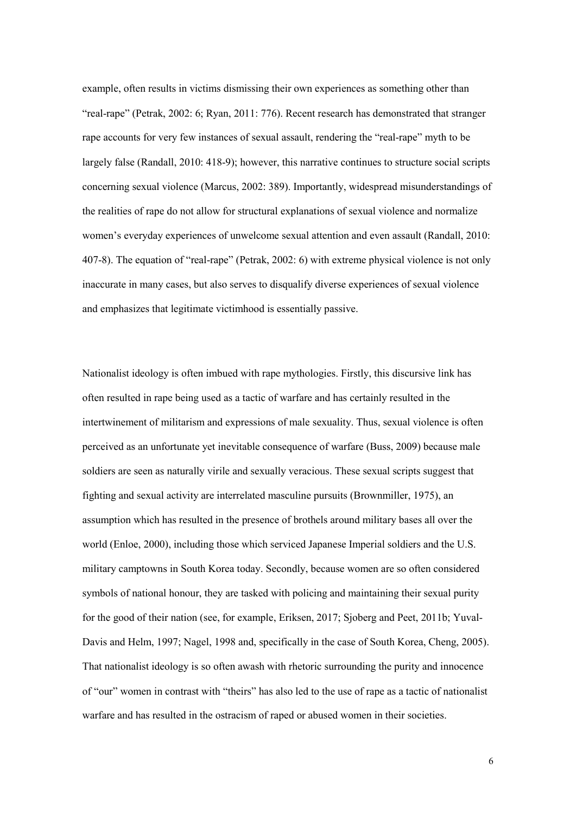example, often results in victims dismissing their own experiences as something other than "real-rape" (Petrak, 2002: 6; Ryan, 2011: 776). Recent research has demonstrated that stranger rape accounts for very few instances of sexual assault, rendering the "real-rape" myth to be largely false (Randall, 2010: 418-9); however, this narrative continues to structure social scripts concerning sexual violence (Marcus, 2002: 389). Importantly, widespread misunderstandings of the realities of rape do not allow for structural explanations of sexual violence and normalize women's everyday experiences of unwelcome sexual attention and even assault (Randall, 2010: 407-8). The equation of "real-rape" (Petrak, 2002: 6) with extreme physical violence is not only inaccurate in many cases, but also serves to disqualify diverse experiences of sexual violence and emphasizes that legitimate victimhood is essentially passive.

Nationalist ideology is often imbued with rape mythologies. Firstly, this discursive link has often resulted in rape being used as a tactic of warfare and has certainly resulted in the intertwinement of militarism and expressions of male sexuality. Thus, sexual violence is often perceived as an unfortunate yet inevitable consequence of warfare (Buss, 2009) because male soldiers are seen as naturally virile and sexually veracious. These sexual scripts suggest that fighting and sexual activity are interrelated masculine pursuits (Brownmiller, 1975), an assumption which has resulted in the presence of brothels around military bases all over the world (Enloe, 2000), including those which serviced Japanese Imperial soldiers and the U.S. military camptowns in South Korea today. Secondly, because women are so often considered symbols of national honour, they are tasked with policing and maintaining their sexual purity for the good of their nation (see, for example, Eriksen, 2017; Sjoberg and Peet, 2011b; Yuval-Davis and Helm, 1997; Nagel, 1998 and, specifically in the case of South Korea, Cheng, 2005). That nationalist ideology is so often awash with rhetoric surrounding the purity and innocence of "our" women in contrast with "theirs" has also led to the use of rape as a tactic of nationalist warfare and has resulted in the ostracism of raped or abused women in their societies.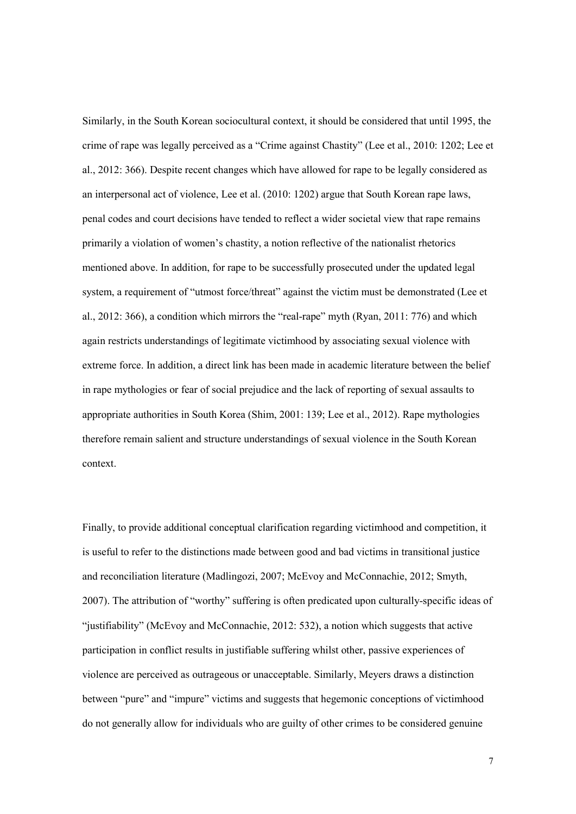Similarly, in the South Korean sociocultural context, it should be considered that until 1995, the crime of rape was legally perceived as a "Crime against Chastity" (Lee et al., 2010: 1202; Lee et al., 2012: 366). Despite recent changes which have allowed for rape to be legally considered as an interpersonal act of violence, Lee et al. (2010: 1202) argue that South Korean rape laws, penal codes and court decisions have tended to reflect a wider societal view that rape remains primarily a violation of women's chastity, a notion reflective of the nationalist rhetorics mentioned above. In addition, for rape to be successfully prosecuted under the updated legal system, a requirement of "utmost force/threat" against the victim must be demonstrated (Lee et al., 2012: 366), a condition which mirrors the "real-rape" myth (Ryan, 2011: 776) and which again restricts understandings of legitimate victimhood by associating sexual violence with extreme force. In addition, a direct link has been made in academic literature between the belief in rape mythologies or fear of social prejudice and the lack of reporting of sexual assaults to appropriate authorities in South Korea (Shim, 2001: 139; Lee et al., 2012). Rape mythologies therefore remain salient and structure understandings of sexual violence in the South Korean context.

Finally, to provide additional conceptual clarification regarding victimhood and competition, it is useful to refer to the distinctions made between good and bad victims in transitional justice and reconciliation literature (Madlingozi, 2007; McEvoy and McConnachie, 2012; Smyth, 2007). The attribution of "worthy" suffering is often predicated upon culturally-specific ideas of "justifiability" (McEvoy and McConnachie, 2012: 532), a notion which suggests that active participation in conflict results in justifiable suffering whilst other, passive experiences of violence are perceived as outrageous or unacceptable. Similarly, Meyers draws a distinction between "pure" and "impure" victims and suggests that hegemonic conceptions of victimhood do not generally allow for individuals who are guilty of other crimes to be considered genuine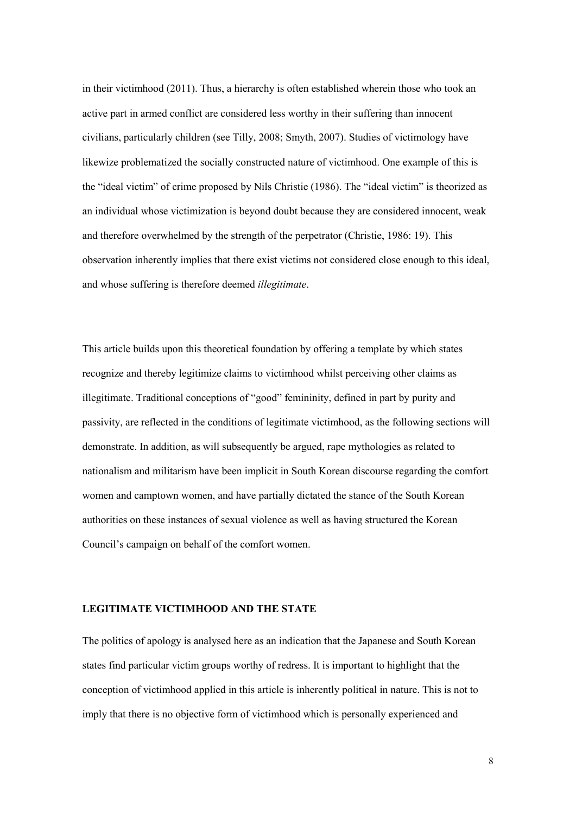in their victimhood (2011). Thus, a hierarchy is often established wherein those who took an active part in armed conflict are considered less worthy in their suffering than innocent civilians, particularly children (see Tilly, 2008; Smyth, 2007). Studies of victimology have likewize problematized the socially constructed nature of victimhood. One example of this is the "ideal victim" of crime proposed by Nils Christie (1986). The "ideal victim" is theorized as an individual whose victimization is beyond doubt because they are considered innocent, weak and therefore overwhelmed by the strength of the perpetrator (Christie, 1986: 19). This observation inherently implies that there exist victims not considered close enough to this ideal, and whose suffering is therefore deemed *illegitimate*.

This article builds upon this theoretical foundation by offering a template by which states recognize and thereby legitimize claims to victimhood whilst perceiving other claims as illegitimate. Traditional conceptions of "good" femininity, defined in part by purity and passivity, are reflected in the conditions of legitimate victimhood, as the following sections will demonstrate. In addition, as will subsequently be argued, rape mythologies as related to nationalism and militarism have been implicit in South Korean discourse regarding the comfort women and camptown women, and have partially dictated the stance of the South Korean authorities on these instances of sexual violence as well as having structured the Korean Council's campaign on behalf of the comfort women.

# **LEGITIMATE VICTIMHOOD AND THE STATE**

The politics of apology is analysed here as an indication that the Japanese and South Korean states find particular victim groups worthy of redress. It is important to highlight that the conception of victimhood applied in this article is inherently political in nature. This is not to imply that there is no objective form of victimhood which is personally experienced and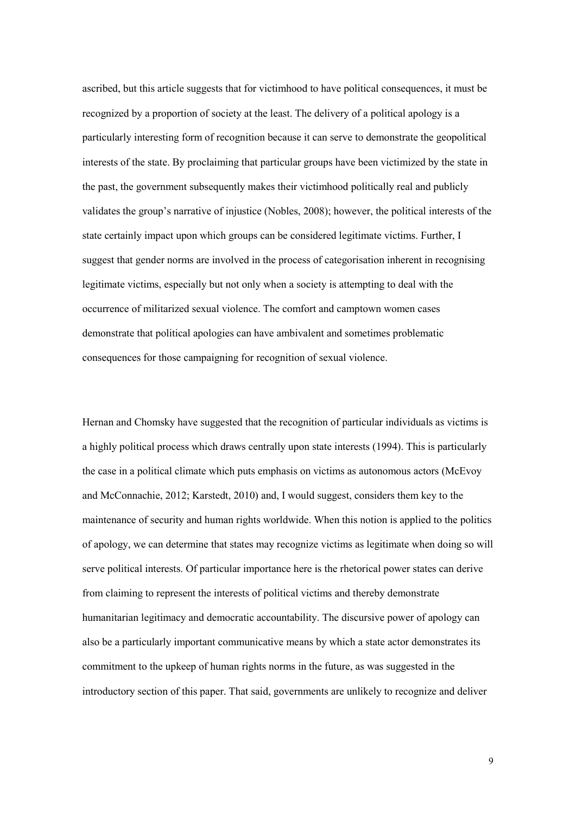ascribed, but this article suggests that for victimhood to have political consequences, it must be recognized by a proportion of society at the least. The delivery of a political apology is a particularly interesting form of recognition because it can serve to demonstrate the geopolitical interests of the state. By proclaiming that particular groups have been victimized by the state in the past, the government subsequently makes their victimhood politically real and publicly validates the group's narrative of injustice (Nobles, 2008); however, the political interests of the state certainly impact upon which groups can be considered legitimate victims. Further, I suggest that gender norms are involved in the process of categorisation inherent in recognising legitimate victims, especially but not only when a society is attempting to deal with the occurrence of militarized sexual violence. The comfort and camptown women cases demonstrate that political apologies can have ambivalent and sometimes problematic consequences for those campaigning for recognition of sexual violence.

Hernan and Chomsky have suggested that the recognition of particular individuals as victims is a highly political process which draws centrally upon state interests (1994). This is particularly the case in a political climate which puts emphasis on victims as autonomous actors (McEvoy and McConnachie, 2012; Karstedt, 2010) and, I would suggest, considers them key to the maintenance of security and human rights worldwide. When this notion is applied to the politics of apology, we can determine that states may recognize victims as legitimate when doing so will serve political interests. Of particular importance here is the rhetorical power states can derive from claiming to represent the interests of political victims and thereby demonstrate humanitarian legitimacy and democratic accountability. The discursive power of apology can also be a particularly important communicative means by which a state actor demonstrates its commitment to the upkeep of human rights norms in the future, as was suggested in the introductory section of this paper. That said, governments are unlikely to recognize and deliver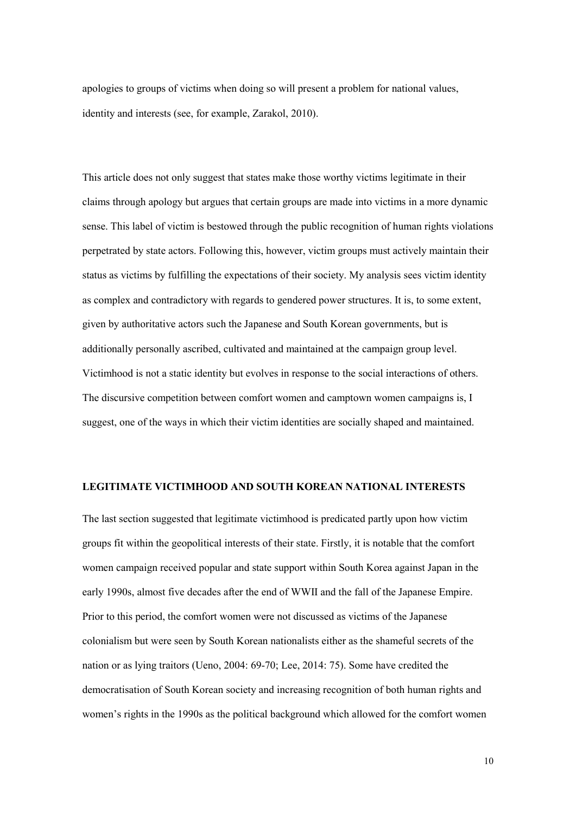apologies to groups of victims when doing so will present a problem for national values, identity and interests (see, for example, Zarakol, 2010).

This article does not only suggest that states make those worthy victims legitimate in their claims through apology but argues that certain groups are made into victims in a more dynamic sense. This label of victim is bestowed through the public recognition of human rights violations perpetrated by state actors. Following this, however, victim groups must actively maintain their status as victims by fulfilling the expectations of their society. My analysis sees victim identity as complex and contradictory with regards to gendered power structures. It is, to some extent, given by authoritative actors such the Japanese and South Korean governments, but is additionally personally ascribed, cultivated and maintained at the campaign group level. Victimhood is not a static identity but evolves in response to the social interactions of others. The discursive competition between comfort women and camptown women campaigns is, I suggest, one of the ways in which their victim identities are socially shaped and maintained.

### **LEGITIMATE VICTIMHOOD AND SOUTH KOREAN NATIONAL INTERESTS**

The last section suggested that legitimate victimhood is predicated partly upon how victim groups fit within the geopolitical interests of their state. Firstly, it is notable that the comfort women campaign received popular and state support within South Korea against Japan in the early 1990s, almost five decades after the end of WWII and the fall of the Japanese Empire. Prior to this period, the comfort women were not discussed as victims of the Japanese colonialism but were seen by South Korean nationalists either as the shameful secrets of the nation or as lying traitors (Ueno, 2004: 69-70; Lee, 2014: 75). Some have credited the democratisation of South Korean society and increasing recognition of both human rights and women's rights in the 1990s as the political background which allowed for the comfort women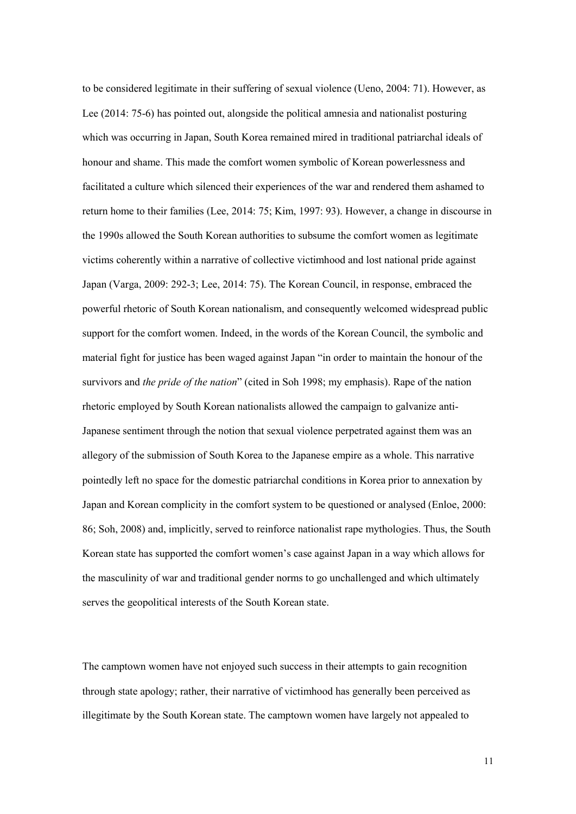to be considered legitimate in their suffering of sexual violence (Ueno, 2004: 71). However, as Lee (2014: 75-6) has pointed out, alongside the political amnesia and nationalist posturing which was occurring in Japan, South Korea remained mired in traditional patriarchal ideals of honour and shame. This made the comfort women symbolic of Korean powerlessness and facilitated a culture which silenced their experiences of the war and rendered them ashamed to return home to their families (Lee, 2014: 75; Kim, 1997: 93). However, a change in discourse in the 1990s allowed the South Korean authorities to subsume the comfort women as legitimate victims coherently within a narrative of collective victimhood and lost national pride against Japan (Varga, 2009: 292-3; Lee, 2014: 75). The Korean Council, in response, embraced the powerful rhetoric of South Korean nationalism, and consequently welcomed widespread public support for the comfort women. Indeed, in the words of the Korean Council, the symbolic and material fight for justice has been waged against Japan "in order to maintain the honour of the survivors and *the pride of the nation*" (cited in Soh 1998; my emphasis). Rape of the nation rhetoric employed by South Korean nationalists allowed the campaign to galvanize anti-Japanese sentiment through the notion that sexual violence perpetrated against them was an allegory of the submission of South Korea to the Japanese empire as a whole. This narrative pointedly left no space for the domestic patriarchal conditions in Korea prior to annexation by Japan and Korean complicity in the comfort system to be questioned or analysed (Enloe, 2000: 86; Soh, 2008) and, implicitly, served to reinforce nationalist rape mythologies. Thus, the South Korean state has supported the comfort women's case against Japan in a way which allows for the masculinity of war and traditional gender norms to go unchallenged and which ultimately serves the geopolitical interests of the South Korean state.

The camptown women have not enjoyed such success in their attempts to gain recognition through state apology; rather, their narrative of victimhood has generally been perceived as illegitimate by the South Korean state. The camptown women have largely not appealed to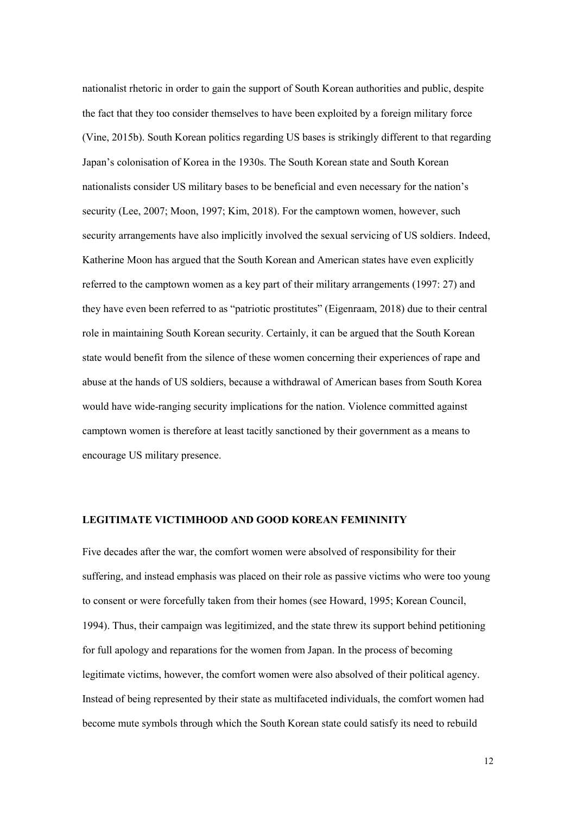nationalist rhetoric in order to gain the support of South Korean authorities and public, despite the fact that they too consider themselves to have been exploited by a foreign military force (Vine, 2015b). South Korean politics regarding US bases is strikingly different to that regarding Japan's colonisation of Korea in the 1930s. The South Korean state and South Korean nationalists consider US military bases to be beneficial and even necessary for the nation's security (Lee, 2007; Moon, 1997; Kim, 2018). For the camptown women, however, such security arrangements have also implicitly involved the sexual servicing of US soldiers. Indeed, Katherine Moon has argued that the South Korean and American states have even explicitly referred to the camptown women as a key part of their military arrangements (1997: 27) and they have even been referred to as "patriotic prostitutes" (Eigenraam, 2018) due to their central role in maintaining South Korean security. Certainly, it can be argued that the South Korean state would benefit from the silence of these women concerning their experiences of rape and abuse at the hands of US soldiers, because a withdrawal of American bases from South Korea would have wide-ranging security implications for the nation. Violence committed against camptown women is therefore at least tacitly sanctioned by their government as a means to encourage US military presence.

# **LEGITIMATE VICTIMHOOD AND GOOD KOREAN FEMININITY**

Five decades after the war, the comfort women were absolved of responsibility for their suffering, and instead emphasis was placed on their role as passive victims who were too young to consent or were forcefully taken from their homes (see Howard, 1995; Korean Council, 1994). Thus, their campaign was legitimized, and the state threw its support behind petitioning for full apology and reparations for the women from Japan. In the process of becoming legitimate victims, however, the comfort women were also absolved of their political agency. Instead of being represented by their state as multifaceted individuals, the comfort women had become mute symbols through which the South Korean state could satisfy its need to rebuild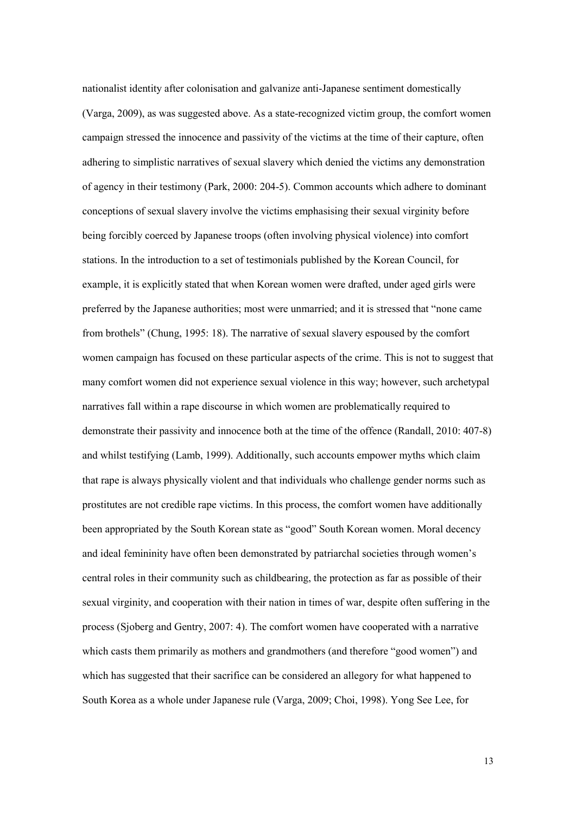nationalist identity after colonisation and galvanize anti-Japanese sentiment domestically (Varga, 2009), as was suggested above. As a state-recognized victim group, the comfort women campaign stressed the innocence and passivity of the victims at the time of their capture, often adhering to simplistic narratives of sexual slavery which denied the victims any demonstration of agency in their testimony (Park, 2000: 204-5). Common accounts which adhere to dominant conceptions of sexual slavery involve the victims emphasising their sexual virginity before being forcibly coerced by Japanese troops (often involving physical violence) into comfort stations. In the introduction to a set of testimonials published by the Korean Council, for example, it is explicitly stated that when Korean women were drafted, under aged girls were preferred by the Japanese authorities; most were unmarried; and it is stressed that "none came from brothels" (Chung, 1995: 18). The narrative of sexual slavery espoused by the comfort women campaign has focused on these particular aspects of the crime. This is not to suggest that many comfort women did not experience sexual violence in this way; however, such archetypal narratives fall within a rape discourse in which women are problematically required to demonstrate their passivity and innocence both at the time of the offence (Randall, 2010: 407-8) and whilst testifying (Lamb, 1999). Additionally, such accounts empower myths which claim that rape is always physically violent and that individuals who challenge gender norms such as prostitutes are not credible rape victims. In this process, the comfort women have additionally been appropriated by the South Korean state as "good" South Korean women. Moral decency and ideal femininity have often been demonstrated by patriarchal societies through women's central roles in their community such as childbearing, the protection as far as possible of their sexual virginity, and cooperation with their nation in times of war, despite often suffering in the process (Sjoberg and Gentry, 2007: 4). The comfort women have cooperated with a narrative which casts them primarily as mothers and grandmothers (and therefore "good women") and which has suggested that their sacrifice can be considered an allegory for what happened to South Korea as a whole under Japanese rule (Varga, 2009; Choi, 1998). Yong See Lee, for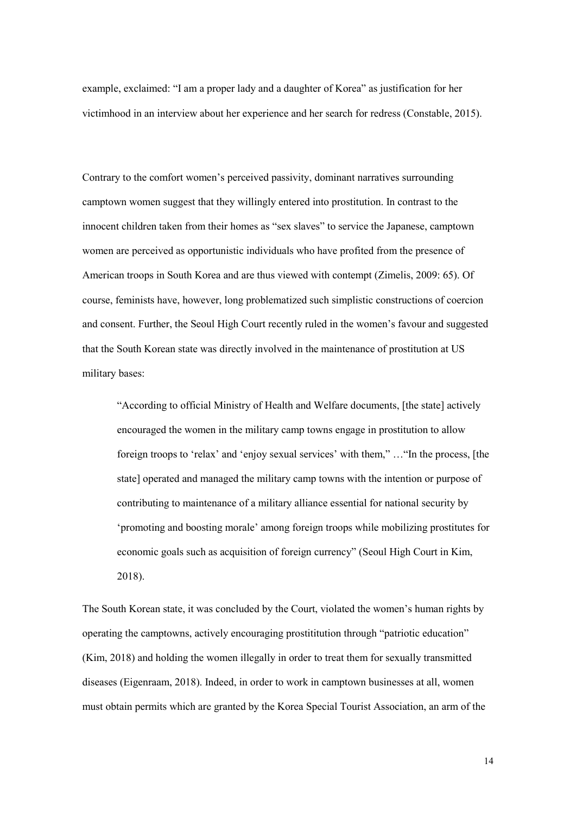example, exclaimed: "I am a proper lady and a daughter of Korea" as justification for her victimhood in an interview about her experience and her search for redress (Constable, 2015).

Contrary to the comfort women's perceived passivity, dominant narratives surrounding camptown women suggest that they willingly entered into prostitution. In contrast to the innocent children taken from their homes as "sex slaves" to service the Japanese, camptown women are perceived as opportunistic individuals who have profited from the presence of American troops in South Korea and are thus viewed with contempt (Zimelis, 2009: 65). Of course, feminists have, however, long problematized such simplistic constructions of coercion and consent. Further, the Seoul High Court recently ruled in the women's favour and suggested that the South Korean state was directly involved in the maintenance of prostitution at US military bases:

"According to official Ministry of Health and Welfare documents, [the state] actively encouraged the women in the military camp towns engage in prostitution to allow foreign troops to 'relax' and 'enjoy sexual services' with them," …"In the process, [the state] operated and managed the military camp towns with the intention or purpose of contributing to maintenance of a military alliance essential for national security by 'promoting and boosting morale' among foreign troops while mobilizing prostitutes for economic goals such as acquisition of foreign currency" (Seoul High Court in Kim, 2018).

The South Korean state, it was concluded by the Court, violated the women's human rights by operating the camptowns, actively encouraging prostititution through "patriotic education" (Kim, 2018) and holding the women illegally in order to treat them for sexually transmitted diseases (Eigenraam, 2018). Indeed, in order to work in camptown businesses at all, women must obtain permits which are granted by the Korea Special Tourist Association, an arm of the

14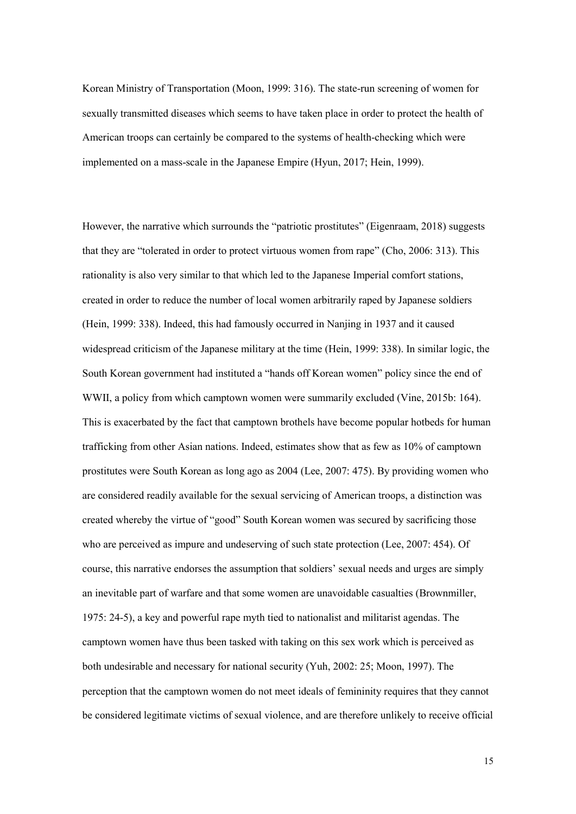Korean Ministry of Transportation (Moon, 1999: 316). The state-run screening of women for sexually transmitted diseases which seems to have taken place in order to protect the health of American troops can certainly be compared to the systems of health-checking which were implemented on a mass-scale in the Japanese Empire (Hyun, 2017; Hein, 1999).

However, the narrative which surrounds the "patriotic prostitutes" (Eigenraam, 2018) suggests that they are "tolerated in order to protect virtuous women from rape" (Cho, 2006: 313). This rationality is also very similar to that which led to the Japanese Imperial comfort stations, created in order to reduce the number of local women arbitrarily raped by Japanese soldiers (Hein, 1999: 338). Indeed, this had famously occurred in Nanjing in 1937 and it caused widespread criticism of the Japanese military at the time (Hein, 1999: 338). In similar logic, the South Korean government had instituted a "hands off Korean women" policy since the end of WWII, a policy from which camptown women were summarily excluded (Vine, 2015b: 164). This is exacerbated by the fact that camptown brothels have become popular hotbeds for human trafficking from other Asian nations. Indeed, estimates show that as few as 10% of camptown prostitutes were South Korean as long ago as 2004 (Lee, 2007: 475). By providing women who are considered readily available for the sexual servicing of American troops, a distinction was created whereby the virtue of "good" South Korean women was secured by sacrificing those who are perceived as impure and undeserving of such state protection (Lee, 2007: 454). Of course, this narrative endorses the assumption that soldiers' sexual needs and urges are simply an inevitable part of warfare and that some women are unavoidable casualties (Brownmiller, 1975: 24-5), a key and powerful rape myth tied to nationalist and militarist agendas. The camptown women have thus been tasked with taking on this sex work which is perceived as both undesirable and necessary for national security (Yuh, 2002: 25; Moon, 1997). The perception that the camptown women do not meet ideals of femininity requires that they cannot be considered legitimate victims of sexual violence, and are therefore unlikely to receive official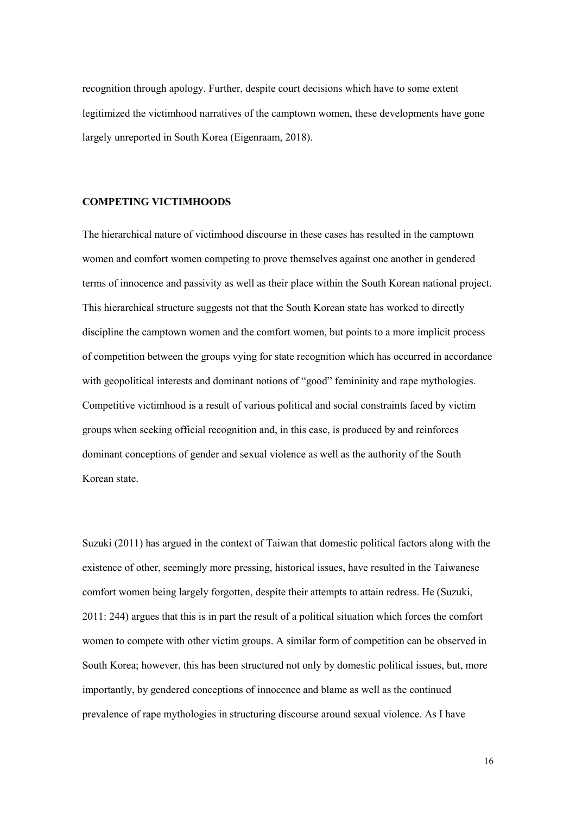recognition through apology. Further, despite court decisions which have to some extent legitimized the victimhood narratives of the camptown women, these developments have gone largely unreported in South Korea (Eigenraam, 2018).

## **COMPETING VICTIMHOODS**

The hierarchical nature of victimhood discourse in these cases has resulted in the camptown women and comfort women competing to prove themselves against one another in gendered terms of innocence and passivity as well as their place within the South Korean national project. This hierarchical structure suggests not that the South Korean state has worked to directly discipline the camptown women and the comfort women, but points to a more implicit process of competition between the groups vying for state recognition which has occurred in accordance with geopolitical interests and dominant notions of "good" femininity and rape mythologies. Competitive victimhood is a result of various political and social constraints faced by victim groups when seeking official recognition and, in this case, is produced by and reinforces dominant conceptions of gender and sexual violence as well as the authority of the South Korean state.

Suzuki (2011) has argued in the context of Taiwan that domestic political factors along with the existence of other, seemingly more pressing, historical issues, have resulted in the Taiwanese comfort women being largely forgotten, despite their attempts to attain redress. He (Suzuki, 2011: 244) argues that this is in part the result of a political situation which forces the comfort women to compete with other victim groups. A similar form of competition can be observed in South Korea; however, this has been structured not only by domestic political issues, but, more importantly, by gendered conceptions of innocence and blame as well as the continued prevalence of rape mythologies in structuring discourse around sexual violence. As I have

16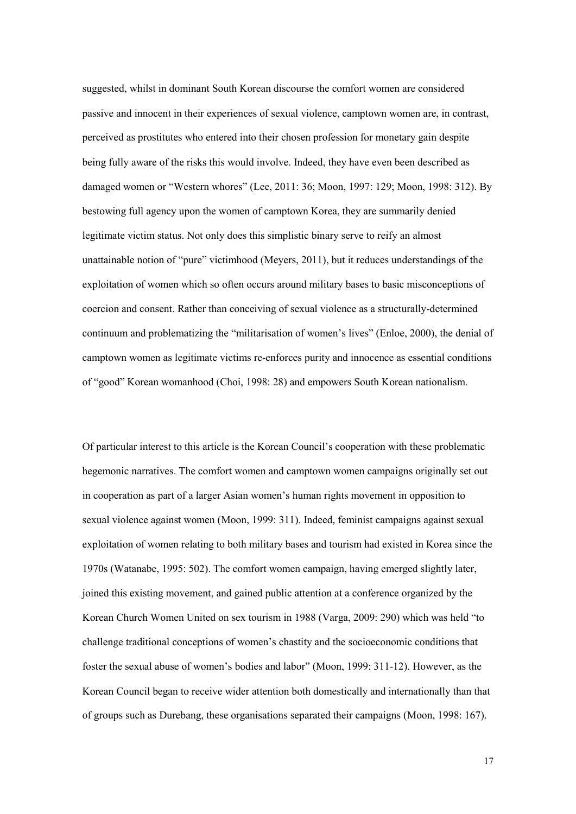suggested, whilst in dominant South Korean discourse the comfort women are considered passive and innocent in their experiences of sexual violence, camptown women are, in contrast, perceived as prostitutes who entered into their chosen profession for monetary gain despite being fully aware of the risks this would involve. Indeed, they have even been described as damaged women or "Western whores" (Lee, 2011: 36; Moon, 1997: 129; Moon, 1998: 312). By bestowing full agency upon the women of camptown Korea, they are summarily denied legitimate victim status. Not only does this simplistic binary serve to reify an almost unattainable notion of "pure" victimhood (Meyers, 2011), but it reduces understandings of the exploitation of women which so often occurs around military bases to basic misconceptions of coercion and consent. Rather than conceiving of sexual violence as a structurally-determined continuum and problematizing the "militarisation of women's lives" (Enloe, 2000), the denial of camptown women as legitimate victims re-enforces purity and innocence as essential conditions of "good" Korean womanhood (Choi, 1998: 28) and empowers South Korean nationalism.

Of particular interest to this article is the Korean Council's cooperation with these problematic hegemonic narratives. The comfort women and camptown women campaigns originally set out in cooperation as part of a larger Asian women's human rights movement in opposition to sexual violence against women (Moon, 1999: 311). Indeed, feminist campaigns against sexual exploitation of women relating to both military bases and tourism had existed in Korea since the 1970s (Watanabe, 1995: 502). The comfort women campaign, having emerged slightly later, joined this existing movement, and gained public attention at a conference organized by the Korean Church Women United on sex tourism in 1988 (Varga, 2009: 290) which was held "to challenge traditional conceptions of women's chastity and the socioeconomic conditions that foster the sexual abuse of women's bodies and labor" (Moon, 1999: 311-12). However, as the Korean Council began to receive wider attention both domestically and internationally than that of groups such as Durebang, these organisations separated their campaigns (Moon, 1998: 167).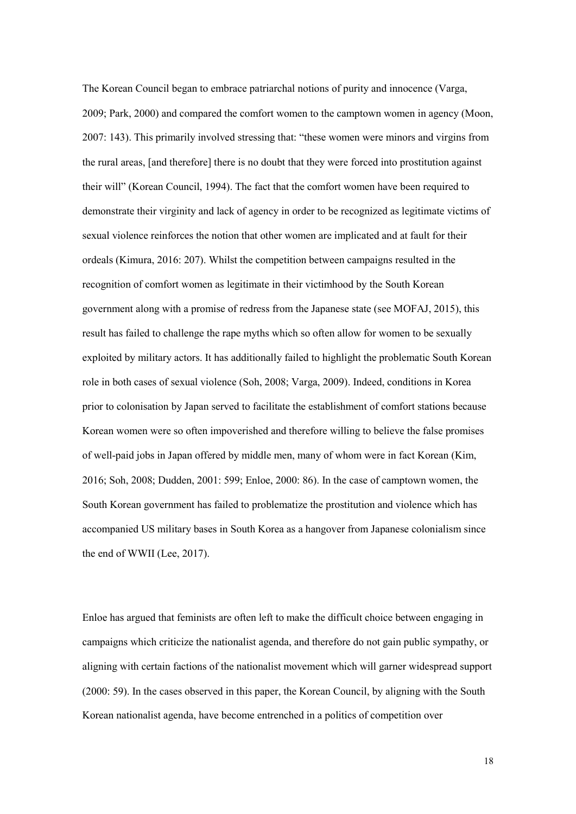The Korean Council began to embrace patriarchal notions of purity and innocence (Varga, 2009; Park, 2000) and compared the comfort women to the camptown women in agency (Moon, 2007: 143). This primarily involved stressing that: "these women were minors and virgins from the rural areas, [and therefore] there is no doubt that they were forced into prostitution against their will" (Korean Council, 1994). The fact that the comfort women have been required to demonstrate their virginity and lack of agency in order to be recognized as legitimate victims of sexual violence reinforces the notion that other women are implicated and at fault for their ordeals (Kimura, 2016: 207). Whilst the competition between campaigns resulted in the recognition of comfort women as legitimate in their victimhood by the South Korean government along with a promise of redress from the Japanese state (see MOFAJ, 2015), this result has failed to challenge the rape myths which so often allow for women to be sexually exploited by military actors. It has additionally failed to highlight the problematic South Korean role in both cases of sexual violence (Soh, 2008; Varga, 2009). Indeed, conditions in Korea prior to colonisation by Japan served to facilitate the establishment of comfort stations because Korean women were so often impoverished and therefore willing to believe the false promises of well-paid jobs in Japan offered by middle men, many of whom were in fact Korean (Kim, 2016; Soh, 2008; Dudden, 2001: 599; Enloe, 2000: 86). In the case of camptown women, the South Korean government has failed to problematize the prostitution and violence which has accompanied US military bases in South Korea as a hangover from Japanese colonialism since the end of WWII (Lee, 2017).

Enloe has argued that feminists are often left to make the difficult choice between engaging in campaigns which criticize the nationalist agenda, and therefore do not gain public sympathy, or aligning with certain factions of the nationalist movement which will garner widespread support (2000: 59). In the cases observed in this paper, the Korean Council, by aligning with the South Korean nationalist agenda, have become entrenched in a politics of competition over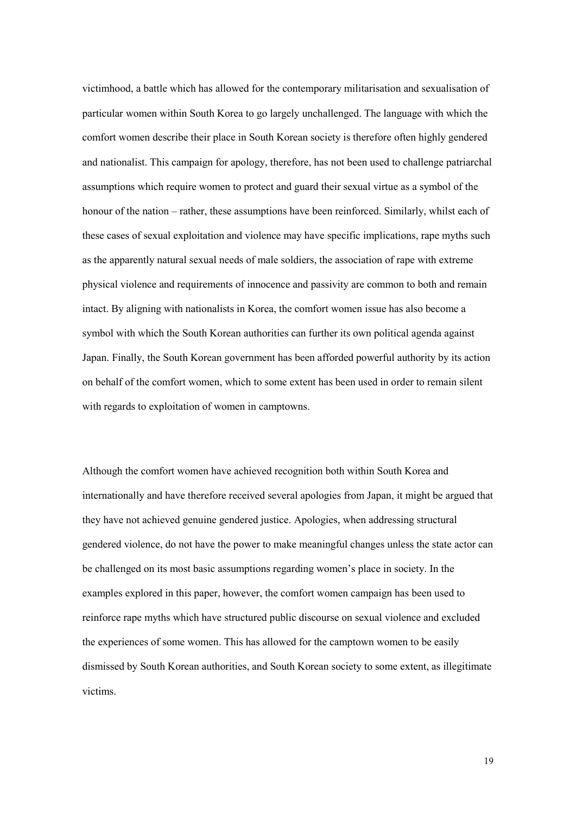victimhood, a battle which has allowed for the contemporary militarisation and sexualisation of particular women within South Korea to go largely unchallenged. The language with which the comfort women describe their place in South Korean society is therefore often highly gendered and nationalist. This campaign for apology, therefore, has not been used to challenge patriarchal assumptions which require women to protect and guard their sexual virtue as a symbol of the honour of the nation – rather, these assumptions have been reinforced. Similarly, whilst each of these cases of sexual exploitation and violence may have specific implications, rape myths such as the apparently natural sexual needs of male soldiers, the association of rape with extreme physical violence and requirements of innocence and passivity are common to both and remain intact. By aligning with nationalists in Korea, the comfort women issue has also become a symbol with which the South Korean authorities can further its own political agenda against Japan. Finally, the South Korean government has been afforded powerful authority by its action on behalf of the comfort women, which to some extent has been used in order to remain silent with regards to exploitation of women in camptowns.

Although the comfort women have achieved recognition both within South Korea and internationally and have therefore received several apologies from Japan, it might be argued that they have not achieved genuine gendered justice. Apologies, when addressing structural gendered violence, do not have the power to make meaningful changes unless the state actor can be challenged on its most basic assumptions regarding women's place in society. In the examples explored in this paper, however, the comfort women campaign has been used to reinforce rape myths which have structured public discourse on sexual violence and excluded the experiences of some women. This has allowed for the camptown women to be easily dismissed by South Korean authorities, and South Korean society to some extent, as illegitimate victims.

19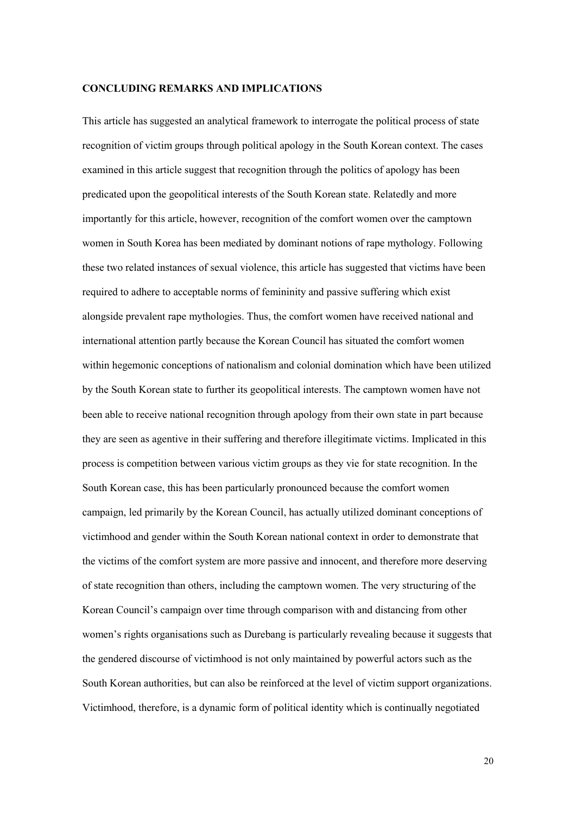### **CONCLUDING REMARKS AND IMPLICATIONS**

This article has suggested an analytical framework to interrogate the political process of state recognition of victim groups through political apology in the South Korean context. The cases examined in this article suggest that recognition through the politics of apology has been predicated upon the geopolitical interests of the South Korean state. Relatedly and more importantly for this article, however, recognition of the comfort women over the camptown women in South Korea has been mediated by dominant notions of rape mythology. Following these two related instances of sexual violence, this article has suggested that victims have been required to adhere to acceptable norms of femininity and passive suffering which exist alongside prevalent rape mythologies. Thus, the comfort women have received national and international attention partly because the Korean Council has situated the comfort women within hegemonic conceptions of nationalism and colonial domination which have been utilized by the South Korean state to further its geopolitical interests. The camptown women have not been able to receive national recognition through apology from their own state in part because they are seen as agentive in their suffering and therefore illegitimate victims. Implicated in this process is competition between various victim groups as they vie for state recognition. In the South Korean case, this has been particularly pronounced because the comfort women campaign, led primarily by the Korean Council, has actually utilized dominant conceptions of victimhood and gender within the South Korean national context in order to demonstrate that the victims of the comfort system are more passive and innocent, and therefore more deserving of state recognition than others, including the camptown women. The very structuring of the Korean Council's campaign over time through comparison with and distancing from other women's rights organisations such as Durebang is particularly revealing because it suggests that the gendered discourse of victimhood is not only maintained by powerful actors such as the South Korean authorities, but can also be reinforced at the level of victim support organizations. Victimhood, therefore, is a dynamic form of political identity which is continually negotiated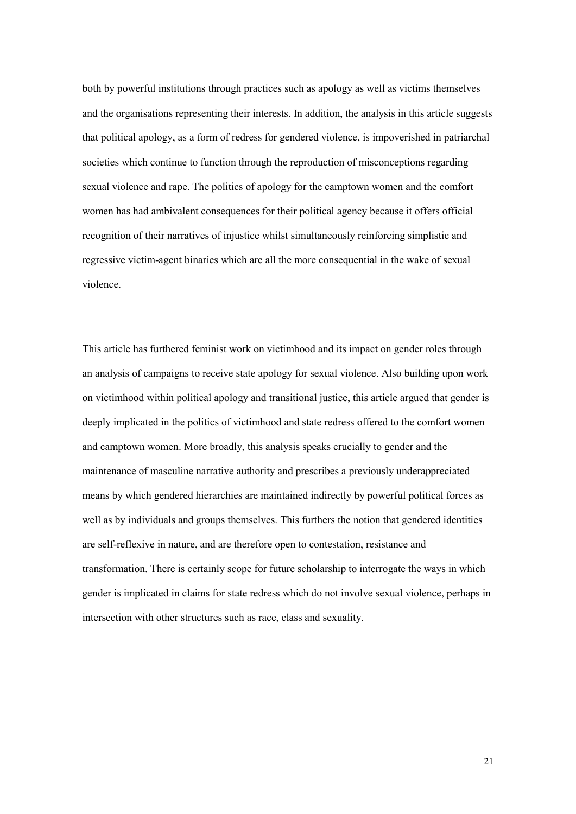both by powerful institutions through practices such as apology as well as victims themselves and the organisations representing their interests. In addition, the analysis in this article suggests that political apology, as a form of redress for gendered violence, is impoverished in patriarchal societies which continue to function through the reproduction of misconceptions regarding sexual violence and rape. The politics of apology for the camptown women and the comfort women has had ambivalent consequences for their political agency because it offers official recognition of their narratives of injustice whilst simultaneously reinforcing simplistic and regressive victim-agent binaries which are all the more consequential in the wake of sexual violence.

This article has furthered feminist work on victimhood and its impact on gender roles through an analysis of campaigns to receive state apology for sexual violence. Also building upon work on victimhood within political apology and transitional justice, this article argued that gender is deeply implicated in the politics of victimhood and state redress offered to the comfort women and camptown women. More broadly, this analysis speaks crucially to gender and the maintenance of masculine narrative authority and prescribes a previously underappreciated means by which gendered hierarchies are maintained indirectly by powerful political forces as well as by individuals and groups themselves. This furthers the notion that gendered identities are self-reflexive in nature, and are therefore open to contestation, resistance and transformation. There is certainly scope for future scholarship to interrogate the ways in which gender is implicated in claims for state redress which do not involve sexual violence, perhaps in intersection with other structures such as race, class and sexuality.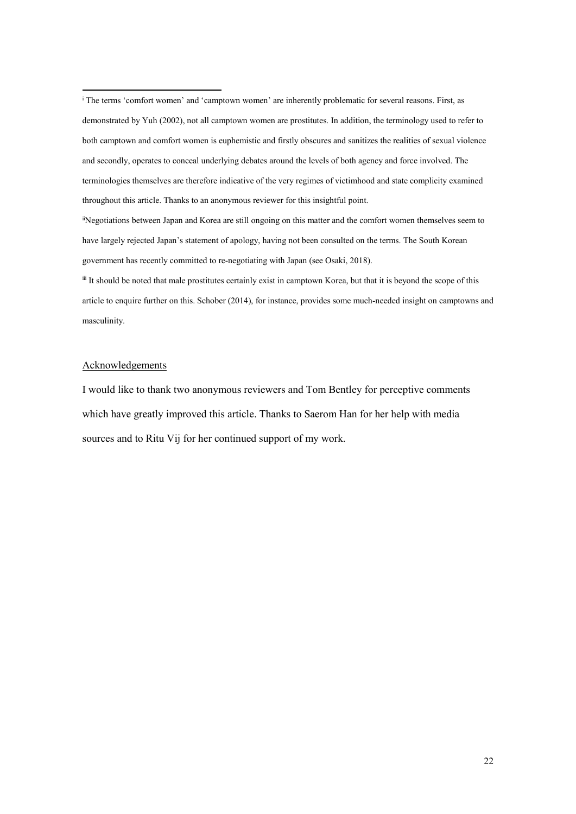<span id="page-21-1"></span>iiNegotiations between Japan and Korea are still ongoing on this matter and the comfort women themselves seem to have largely rejected Japan's statement of apology, having not been consulted on the terms. The South Korean government has recently committed to re-negotiating with Japan (see Osaki, 2018).

<span id="page-21-2"></span>iii It should be noted that male prostitutes certainly exist in camptown Korea, but that it is beyond the scope of this article to enquire further on this. Schober (2014), for instance, provides some much-needed insight on camptowns and masculinity.

### Acknowledgements

**.** 

I would like to thank two anonymous reviewers and Tom Bentley for perceptive comments which have greatly improved this article. Thanks to Saerom Han for her help with media sources and to Ritu Vij for her continued support of my work.

<span id="page-21-0"></span><sup>i</sup> The terms 'comfort women' and 'camptown women' are inherently problematic for several reasons. First, as demonstrated by Yuh (2002), not all camptown women are prostitutes. In addition, the terminology used to refer to both camptown and comfort women is euphemistic and firstly obscures and sanitizes the realities of sexual violence and secondly, operates to conceal underlying debates around the levels of both agency and force involved. The terminologies themselves are therefore indicative of the very regimes of victimhood and state complicity examined throughout this article. Thanks to an anonymous reviewer for this insightful point.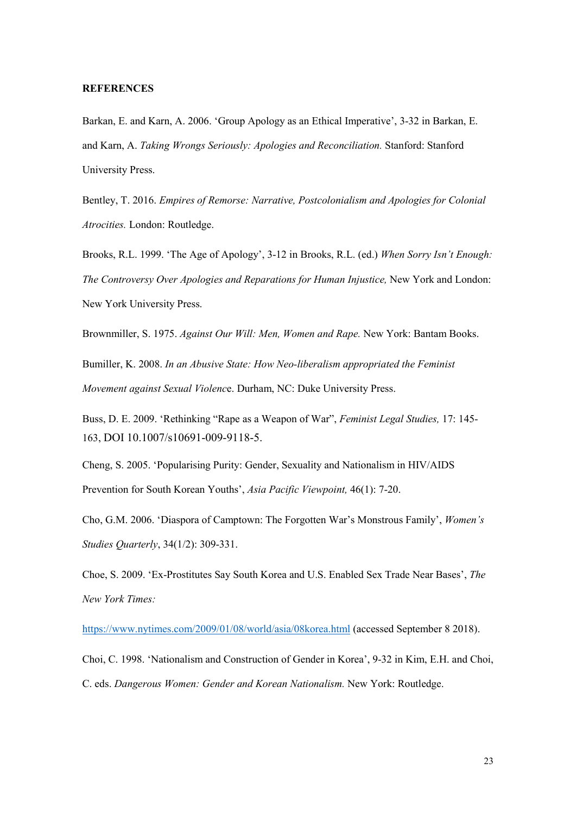### **REFERENCES**

Barkan, E. and Karn, A. 2006. 'Group Apology as an Ethical Imperative', 3-32 in Barkan, E. and Karn, A. *Taking Wrongs Seriously: Apologies and Reconciliation.* Stanford: Stanford University Press.

Bentley, T. 2016. *Empires of Remorse: Narrative, Postcolonialism and Apologies for Colonial Atrocities.* London: Routledge.

Brooks, R.L. 1999. 'The Age of Apology', 3-12 in Brooks, R.L. (ed.) *When Sorry Isn't Enough: The Controversy Over Apologies and Reparations for Human Injustice,* New York and London: New York University Press.

Brownmiller, S. 1975. *Against Our Will: Men, Women and Rape.* New York: Bantam Books.

Bumiller, K. 2008. *In an Abusive State: How Neo-liberalism appropriated the Feminist Movement against Sexual Violenc*e. Durham, NC: Duke University Press.

Buss, D. E. 2009. 'Rethinking "Rape as a Weapon of War", *Feminist Legal Studies,* 17: 145- 163, DOI 10.1007/s10691-009-9118-5.

Cheng, S. 2005. 'Popularising Purity: Gender, Sexuality and Nationalism in HIV/AIDS Prevention for South Korean Youths', *Asia Pacific Viewpoint,* 46(1): 7-20.

Cho, G.M. 2006. 'Diaspora of Camptown: The Forgotten War's Monstrous Family', *Women's Studies Quarterly*, 34(1/2): 309-331.

Choe, S. 2009. 'Ex-Prostitutes Say South Korea and U.S. Enabled Sex Trade Near Bases', *The New York Times:*

<https://www.nytimes.com/2009/01/08/world/asia/08korea.html> (accessed September 8 2018).

Choi, C. 1998. 'Nationalism and Construction of Gender in Korea', 9-32 in Kim, E.H. and Choi, C. eds. *Dangerous Women: Gender and Korean Nationalism.* New York: Routledge.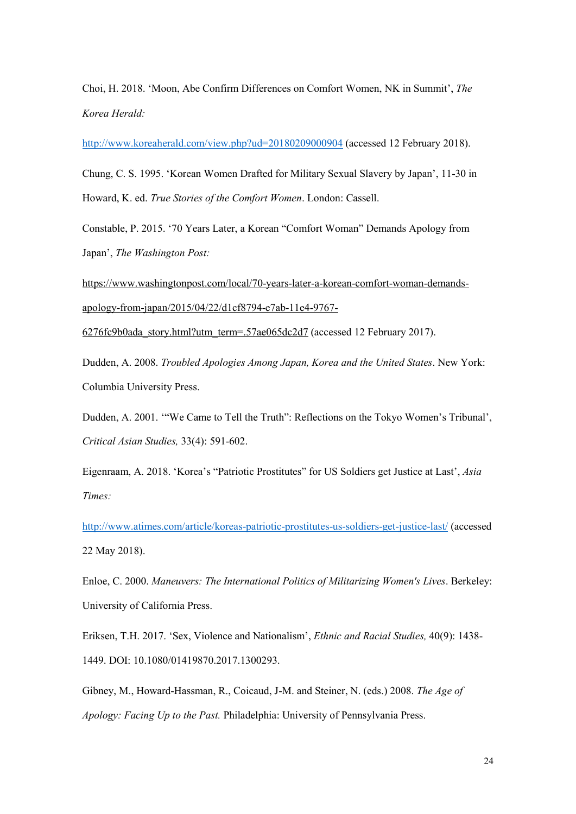Choi, H. 2018. 'Moon, Abe Confirm Differences on Comfort Women, NK in Summit', *The Korea Herald:*

<http://www.koreaherald.com/view.php?ud=20180209000904> (accessed 12 February 2018).

Chung, C. S. 1995. 'Korean Women Drafted for Military Sexual Slavery by Japan', 11-30 in Howard, K. ed. *True Stories of the Comfort Women*. London: Cassell.

Constable, P. 2015. '70 Years Later, a Korean "Comfort Woman" Demands Apology from Japan', *The Washington Post:*

[https://www.washingtonpost.com/local/70-years-later-a-korean-comfort-woman-demands](https://www.washingtonpost.com/local/70-years-later-a-korean-comfort-woman-demands-apology-from-japan/2015/04/22/d1cf8794-e7ab-11e4-9767-6276fc9b0ada_story.html?utm_term=.57ae065dc2d7)[apology-from-japan/2015/04/22/d1cf8794-e7ab-11e4-9767-](https://www.washingtonpost.com/local/70-years-later-a-korean-comfort-woman-demands-apology-from-japan/2015/04/22/d1cf8794-e7ab-11e4-9767-6276fc9b0ada_story.html?utm_term=.57ae065dc2d7)

[6276fc9b0ada\\_story.html?utm\\_term=.57ae065dc2d7](https://www.washingtonpost.com/local/70-years-later-a-korean-comfort-woman-demands-apology-from-japan/2015/04/22/d1cf8794-e7ab-11e4-9767-6276fc9b0ada_story.html?utm_term=.57ae065dc2d7) (accessed 12 February 2017).

Dudden, A. 2008. *Troubled Apologies Among Japan, Korea and the United States*. New York: Columbia University Press.

Dudden, A. 2001. '"We Came to Tell the Truth": Reflections on the Tokyo Women's Tribunal', *Critical Asian Studies,* 33(4): 591-602.

Eigenraam, A. 2018. 'Korea's "Patriotic Prostitutes" for US Soldiers get Justice at Last', *Asia Times:*

<http://www.atimes.com/article/koreas-patriotic-prostitutes-us-soldiers-get-justice-last/> (accessed 22 May 2018).

Enloe, C. 2000. *Maneuvers: The International Politics of Militarizing Women's Lives*. Berkeley: University of California Press.

Eriksen, T.H. 2017. 'Sex, Violence and Nationalism', *Ethnic and Racial Studies,* 40(9): 1438- 1449. DOI: 10.1080/01419870.2017.1300293.

Gibney, M., Howard-Hassman, R., Coicaud, J-M. and Steiner, N. (eds.) 2008. *The Age of Apology: Facing Up to the Past.* Philadelphia: University of Pennsylvania Press.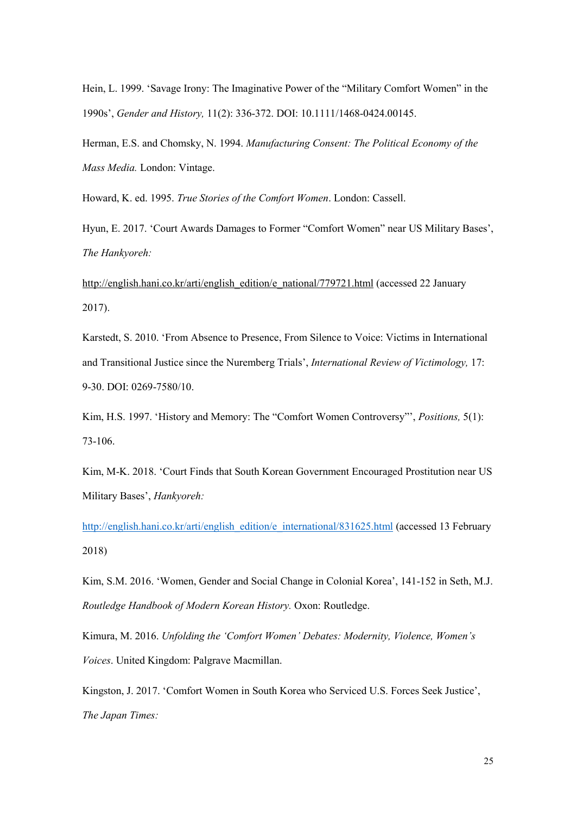Hein, L. 1999. 'Savage Irony: The Imaginative Power of the "Military Comfort Women" in the 1990s', *Gender and History,* 11(2): 336-372. DOI: 10.1111/1468-0424.00145.

Herman, E.S. and Chomsky, N. 1994. *Manufacturing Consent: The Political Economy of the Mass Media.* London: Vintage.

Howard, K. ed. 1995. *True Stories of the Comfort Women*. London: Cassell.

Hyun, E. 2017. 'Court Awards Damages to Former "Comfort Women" near US Military Bases', *The Hankyoreh:*

[http://english.hani.co.kr/arti/english\\_edition/e\\_national/779721.html](http://english.hani.co.kr/arti/english_edition/e_national/779721.html) (accessed 22 January 2017).

Karstedt, S. 2010. 'From Absence to Presence, From Silence to Voice: Victims in International and Transitional Justice since the Nuremberg Trials', *International Review of Victimology,* 17: 9-30. DOI: 0269-7580/10.

Kim, H.S. 1997. 'History and Memory: The "Comfort Women Controversy"', *Positions,* 5(1): 73-106.

Kim, M-K. 2018. 'Court Finds that South Korean Government Encouraged Prostitution near US Military Bases', *Hankyoreh:*

[http://english.hani.co.kr/arti/english\\_edition/e\\_international/831625.html](http://english.hani.co.kr/arti/english_edition/e_international/831625.html) (accessed 13 February 2018)

Kim, S.M. 2016. 'Women, Gender and Social Change in Colonial Korea', 141-152 in Seth, M.J. *Routledge Handbook of Modern Korean History.* Oxon: Routledge.

Kimura, M. 2016. *Unfolding the 'Comfort Women' Debates: Modernity, Violence, Women's Voices*. United Kingdom: Palgrave Macmillan.

Kingston, J. 2017. 'Comfort Women in South Korea who Serviced U.S. Forces Seek Justice', *The Japan Times:*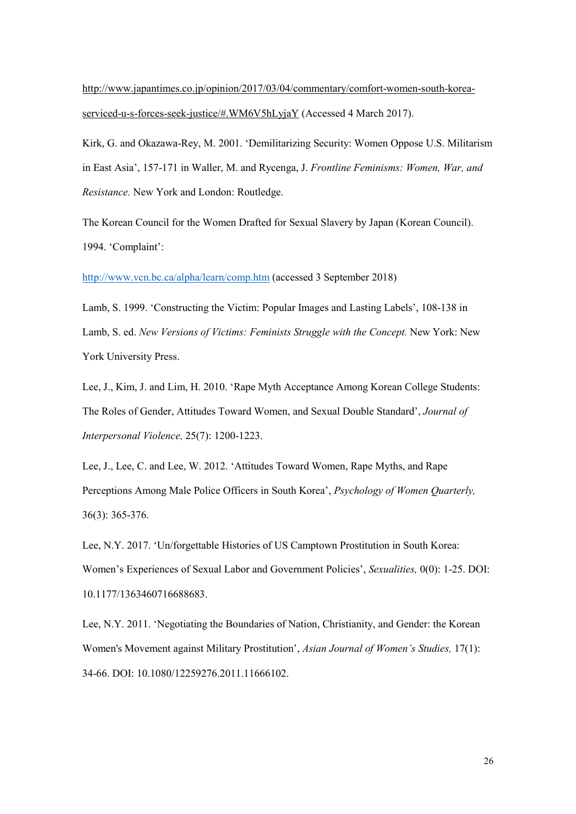[http://www.japantimes.co.jp/opinion/2017/03/04/commentary/comfort-women-south-korea](http://www.japantimes.co.jp/opinion/2017/03/04/commentary/comfort-women-south-korea-serviced-u-s-forces-seek-justice/#.WM6V5hLyjaY)[serviced-u-s-forces-seek-justice/#.WM6V5hLyjaY](http://www.japantimes.co.jp/opinion/2017/03/04/commentary/comfort-women-south-korea-serviced-u-s-forces-seek-justice/#.WM6V5hLyjaY) (Accessed 4 March 2017).

Kirk, G. and Okazawa-Rey, M. 2001. 'Demilitarizing Security: Women Oppose U.S. Militarism in East Asia', 157-171 in Waller, M. and Rycenga, J. *Frontline Feminisms: Women, War, and Resistance.* New York and London: Routledge.

The Korean Council for the Women Drafted for Sexual Slavery by Japan (Korean Council). 1994. 'Complaint':

<http://www.vcn.bc.ca/alpha/learn/comp.htm> (accessed 3 September 2018)

Lamb, S. 1999. 'Constructing the Victim: Popular Images and Lasting Labels', 108-138 in Lamb, S. ed. *New Versions of Victims: Feminists Struggle with the Concept*. New York: New York University Press.

Lee, J., Kim, J. and Lim, H. 2010. 'Rape Myth Acceptance Among Korean College Students: The Roles of Gender, Attitudes Toward Women, and Sexual Double Standard', *Journal of Interpersonal Violence,* 25(7): 1200-1223.

Lee, J., Lee, C. and Lee, W. 2012. 'Attitudes Toward Women, Rape Myths, and Rape Perceptions Among Male Police Officers in South Korea', *Psychology of Women Quarterly,*  36(3): 365-376.

Lee, N.Y. 2017. 'Un/forgettable Histories of US Camptown Prostitution in South Korea: Women's Experiences of Sexual Labor and Government Policies', *Sexualities,* 0(0): 1-25. DOI: 10.1177/1363460716688683.

Lee, N.Y. 2011. 'Negotiating the Boundaries of Nation, Christianity, and Gender: the Korean Women's Movement against Military Prostitution', *Asian Journal of Women's Studies,* 17(1): 34-66. DOI: 10.1080/12259276.2011.11666102.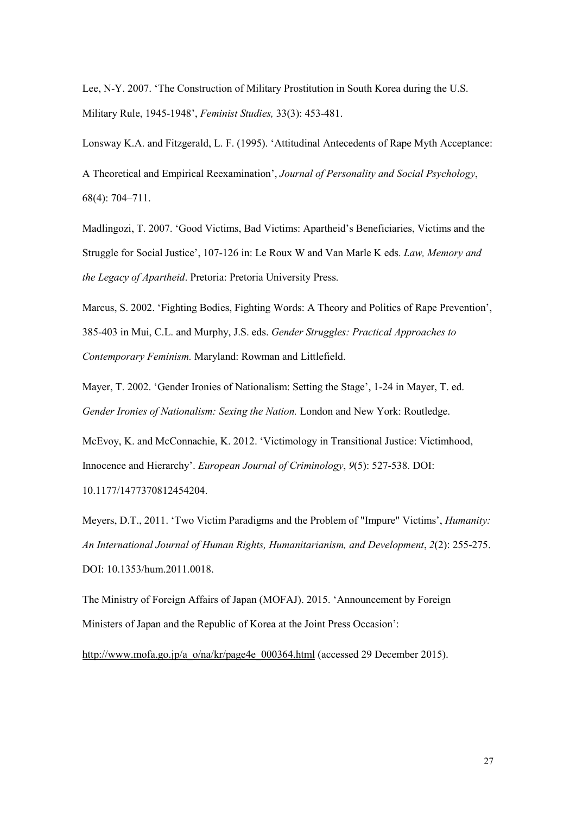Lee, N-Y. 2007. 'The Construction of Military Prostitution in South Korea during the U.S. Military Rule, 1945-1948', *Feminist Studies,* 33(3): 453-481.

Lonsway K.A. and Fitzgerald, L. F. (1995). 'Attitudinal Antecedents of Rape Myth Acceptance:

A Theoretical and Empirical Reexamination', *Journal of Personality and Social Psychology*, 68(4): 704–711.

Madlingozi, T. 2007. 'Good Victims, Bad Victims: Apartheid's Beneficiaries, Victims and the Struggle for Social Justice', 107-126 in: Le Roux W and Van Marle K eds. *Law, Memory and the Legacy of Apartheid*. Pretoria: Pretoria University Press.

Marcus, S. 2002. 'Fighting Bodies, Fighting Words: A Theory and Politics of Rape Prevention', 385-403 in Mui, C.L. and Murphy, J.S. eds. *Gender Struggles: Practical Approaches to Contemporary Feminism.* Maryland: Rowman and Littlefield.

Mayer, T. 2002. 'Gender Ironies of Nationalism: Setting the Stage', 1-24 in Mayer, T. ed. *Gender Ironies of Nationalism: Sexing the Nation.* London and New York: Routledge.

McEvoy, K. and McConnachie, K. 2012. 'Victimology in Transitional Justice: Victimhood, Innocence and Hierarchy'. *European Journal of Criminology*, *9*(5): 527-538. DOI: 10.1177/1477370812454204.

Meyers, D.T., 2011. 'Two Victim Paradigms and the Problem of "Impure" Victims', *Humanity: An International Journal of Human Rights, Humanitarianism, and Development*, *2*(2): 255-275. DOI: 10.1353/hum.2011.0018.

The Ministry of Foreign Affairs of Japan (MOFAJ). 2015. 'Announcement by Foreign Ministers of Japan and the Republic of Korea at the Joint Press Occasion':

[http://www.mofa.go.jp/a\\_o/na/kr/page4e\\_000364.html](http://www.mofa.go.jp/a_o/na/kr/page4e_000364.html) (accessed 29 December 2015).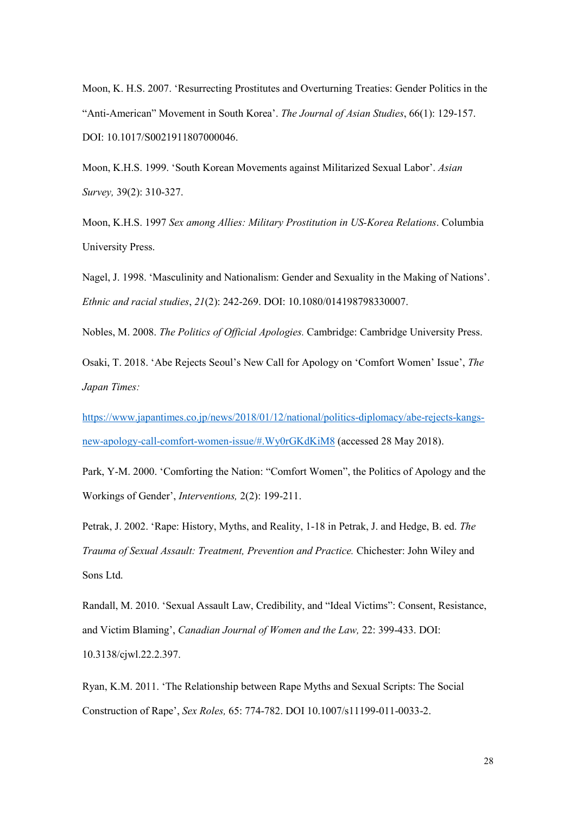Moon, K. H.S. 2007. 'Resurrecting Prostitutes and Overturning Treaties: Gender Politics in the "Anti-American" Movement in South Korea'. *The Journal of Asian Studies*, 66(1): 129-157. DOI: 10.1017/S0021911807000046.

Moon, K.H.S. 1999. 'South Korean Movements against Militarized Sexual Labor'. *Asian Survey,* 39(2): 310-327.

Moon, K.H.S. 1997 *Sex among Allies: Military Prostitution in US-Korea Relations*. Columbia University Press.

Nagel, J. 1998. 'Masculinity and Nationalism: Gender and Sexuality in the Making of Nations'. *Ethnic and racial studies*, *21*(2): 242-269. DOI: 10.1080/014198798330007.

Nobles, M. 2008. *The Politics of Official Apologies.* Cambridge: Cambridge University Press.

Osaki, T. 2018. 'Abe Rejects Seoul's New Call for Apology on 'Comfort Women' Issue', *The Japan Times:*

[https://www.japantimes.co.jp/news/2018/01/12/national/politics-diplomacy/abe-rejects-kangs](https://www.japantimes.co.jp/news/2018/01/12/national/politics-diplomacy/abe-rejects-kangs-new-apology-call-comfort-women-issue/#.Wy0rGKdKiM8)[new-apology-call-comfort-women-issue/#.Wy0rGKdKiM8](https://www.japantimes.co.jp/news/2018/01/12/national/politics-diplomacy/abe-rejects-kangs-new-apology-call-comfort-women-issue/#.Wy0rGKdKiM8) (accessed 28 May 2018).

Park, Y-M. 2000. 'Comforting the Nation: "Comfort Women", the Politics of Apology and the Workings of Gender', *Interventions,* 2(2): 199-211.

Petrak, J. 2002. 'Rape: History, Myths, and Reality, 1-18 in Petrak, J. and Hedge, B. ed. *The Trauma of Sexual Assault: Treatment, Prevention and Practice.* Chichester: John Wiley and Sons Ltd.

Randall, M. 2010. 'Sexual Assault Law, Credibility, and "Ideal Victims": Consent, Resistance, and Victim Blaming', *Canadian Journal of Women and the Law,* 22: 399-433. DOI: 10.3138/cjwl.22.2.397.

Ryan, K.M. 2011. 'The Relationship between Rape Myths and Sexual Scripts: The Social Construction of Rape', *Sex Roles,* 65: 774-782. DOI 10.1007/s11199-011-0033-2.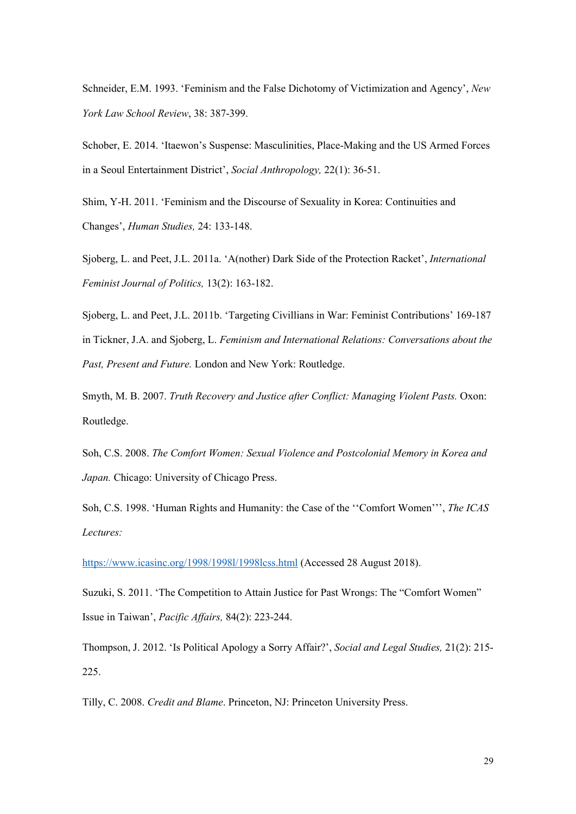Schneider, E.M. 1993. 'Feminism and the False Dichotomy of Victimization and Agency', *New York Law School Review*, 38: 387-399.

Schober, E. 2014. 'Itaewon's Suspense: Masculinities, Place-Making and the US Armed Forces in a Seoul Entertainment District', *Social Anthropology,* 22(1): 36-51.

Shim, Y-H. 2011. 'Feminism and the Discourse of Sexuality in Korea: Continuities and Changes', *Human Studies,* 24: 133-148.

Sjoberg, L. and Peet, J.L. 2011a. 'A(nother) Dark Side of the Protection Racket', *International Feminist Journal of Politics,* 13(2): 163-182.

Sjoberg, L. and Peet, J.L. 2011b. 'Targeting Civillians in War: Feminist Contributions' 169-187 in Tickner, J.A. and Sjoberg, L. *Feminism and International Relations: Conversations about the Past, Present and Future.* London and New York: Routledge.

Smyth, M. B. 2007. *Truth Recovery and Justice after Conflict: Managing Violent Pasts.* Oxon: Routledge.

Soh, C.S. 2008. *The Comfort Women: Sexual Violence and Postcolonial Memory in Korea and Japan.* Chicago: University of Chicago Press.

Soh, C.S. 1998. 'Human Rights and Humanity: the Case of the ''Comfort Women''', *The ICAS Lectures:*

<https://www.icasinc.org/1998/1998l/1998lcss.html> (Accessed 28 August 2018).

Suzuki, S. 2011. 'The Competition to Attain Justice for Past Wrongs: The "Comfort Women" Issue in Taiwan', *Pacific Affairs,* 84(2): 223-244.

Thompson, J. 2012. 'Is Political Apology a Sorry Affair?', *Social and Legal Studies,* 21(2): 215- 225.

Tilly, C. 2008. *Credit and Blame*. Princeton, NJ: Princeton University Press.